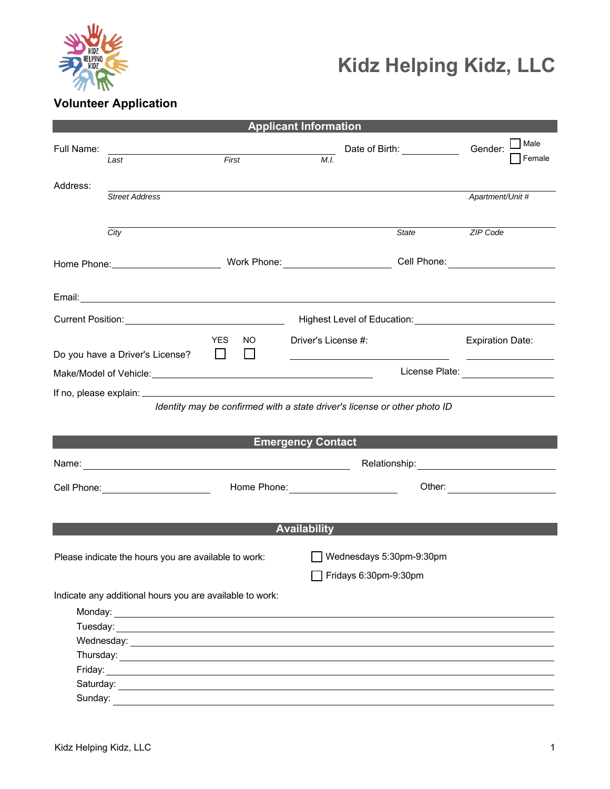

# **Kidz Helping Kidz, LLC**

# **Volunteer Application**

| <b>Applicant Information</b>                         |                                                          |                                                |                                                                                                                                                                                                                                                                          |                                                                                     |                           |  |
|------------------------------------------------------|----------------------------------------------------------|------------------------------------------------|--------------------------------------------------------------------------------------------------------------------------------------------------------------------------------------------------------------------------------------------------------------------------|-------------------------------------------------------------------------------------|---------------------------|--|
| Full Name:                                           | Last                                                     | First                                          | M.I.                                                                                                                                                                                                                                                                     | Date of Birth: _____________                                                        | Male<br>Gender:<br>Female |  |
|                                                      |                                                          |                                                |                                                                                                                                                                                                                                                                          |                                                                                     |                           |  |
| Address:                                             | <b>Street Address</b>                                    |                                                |                                                                                                                                                                                                                                                                          |                                                                                     | Apartment/Unit #          |  |
|                                                      | City                                                     |                                                |                                                                                                                                                                                                                                                                          | State                                                                               | <b>ZIP Code</b>           |  |
|                                                      |                                                          |                                                |                                                                                                                                                                                                                                                                          |                                                                                     |                           |  |
|                                                      |                                                          |                                                |                                                                                                                                                                                                                                                                          |                                                                                     |                           |  |
|                                                      |                                                          |                                                |                                                                                                                                                                                                                                                                          | Highest Level of Education: Management of the Management of School and Theorem 2014 |                           |  |
|                                                      | Do you have a Driver's License?                          | <b>YES</b><br>NO.<br><b>Contract</b><br>$\Box$ | Driver's License #:                                                                                                                                                                                                                                                      |                                                                                     | <b>Expiration Date:</b>   |  |
|                                                      |                                                          |                                                | <u>state and the control of the control of the control of the control of the control of the control of the control of the control of the control of the control of the control of the control of the control of the control of t</u><br>License Plate: _________________ |                                                                                     |                           |  |
|                                                      |                                                          |                                                |                                                                                                                                                                                                                                                                          |                                                                                     |                           |  |
|                                                      |                                                          |                                                |                                                                                                                                                                                                                                                                          | Identity may be confirmed with a state driver's license or other photo ID           |                           |  |
|                                                      |                                                          |                                                |                                                                                                                                                                                                                                                                          |                                                                                     |                           |  |
|                                                      |                                                          |                                                | <b>Emergency Contact</b>                                                                                                                                                                                                                                                 |                                                                                     |                           |  |
|                                                      |                                                          |                                                |                                                                                                                                                                                                                                                                          |                                                                                     |                           |  |
|                                                      |                                                          |                                                |                                                                                                                                                                                                                                                                          |                                                                                     |                           |  |
|                                                      | Cell Phone: <u>______________________</u>                |                                                | Home Phone: <u>______________________________</u>                                                                                                                                                                                                                        |                                                                                     |                           |  |
|                                                      |                                                          |                                                |                                                                                                                                                                                                                                                                          |                                                                                     |                           |  |
|                                                      |                                                          |                                                | <b>Availability</b>                                                                                                                                                                                                                                                      |                                                                                     |                           |  |
|                                                      |                                                          |                                                |                                                                                                                                                                                                                                                                          |                                                                                     |                           |  |
| Please indicate the hours you are available to work: |                                                          |                                                |                                                                                                                                                                                                                                                                          | Wednesdays 5:30pm-9:30pm                                                            |                           |  |
|                                                      |                                                          |                                                | $\overline{\phantom{a}}$ Fridays 6:30pm-9:30pm                                                                                                                                                                                                                           |                                                                                     |                           |  |
|                                                      | Indicate any additional hours you are available to work: |                                                |                                                                                                                                                                                                                                                                          |                                                                                     |                           |  |
|                                                      |                                                          |                                                |                                                                                                                                                                                                                                                                          |                                                                                     |                           |  |
|                                                      |                                                          |                                                |                                                                                                                                                                                                                                                                          |                                                                                     |                           |  |
|                                                      |                                                          |                                                |                                                                                                                                                                                                                                                                          |                                                                                     |                           |  |
|                                                      |                                                          |                                                |                                                                                                                                                                                                                                                                          |                                                                                     |                           |  |
|                                                      |                                                          |                                                |                                                                                                                                                                                                                                                                          |                                                                                     |                           |  |
|                                                      |                                                          |                                                |                                                                                                                                                                                                                                                                          |                                                                                     |                           |  |
|                                                      |                                                          |                                                |                                                                                                                                                                                                                                                                          |                                                                                     |                           |  |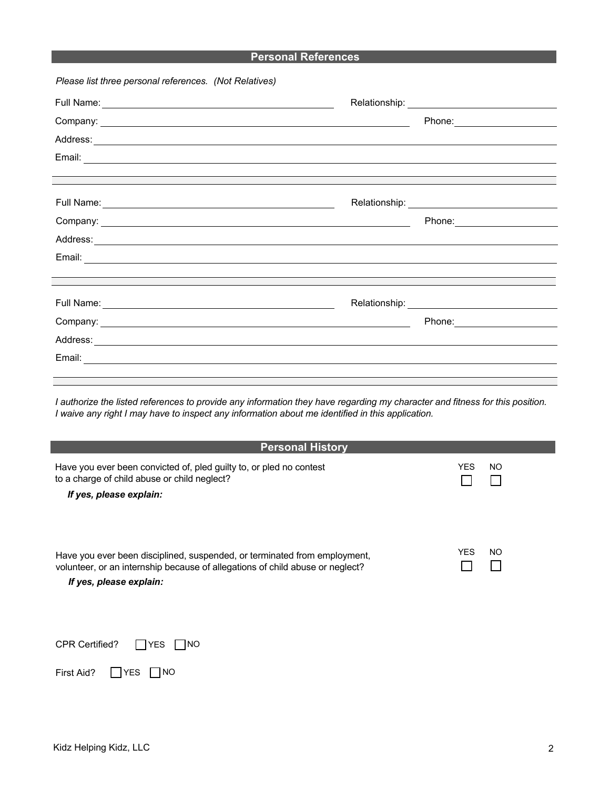### **Personal References**

| Please list three personal references. (Not Relatives)                           |                                 |
|----------------------------------------------------------------------------------|---------------------------------|
| Full Name: <u>Contract Communication</u>                                         |                                 |
|                                                                                  |                                 |
|                                                                                  |                                 |
|                                                                                  |                                 |
| ,我们也不会有什么?""我们的人,我们也不会有什么?""我们的人,我们也不会有什么?""我们的人,我们也不会有什么?""我们的人,我们也不会有什么?""我们的人 |                                 |
|                                                                                  |                                 |
| Company: <u>Company:</u>                                                         | Phone: ________________________ |
| Address:<br>Address:                                                             |                                 |
|                                                                                  |                                 |
|                                                                                  |                                 |
|                                                                                  |                                 |
|                                                                                  | Phone: _______________________  |
|                                                                                  |                                 |
|                                                                                  |                                 |
|                                                                                  |                                 |

*I authorize the listed references to provide any information they have regarding my character and fitness for this position. I waive any right I may have to inspect any information about me identified in this application.*

| <b>Personal History</b>                                                                                                                                                               |             |
|---------------------------------------------------------------------------------------------------------------------------------------------------------------------------------------|-------------|
| Have you ever been convicted of, pled guilty to, or pled no contest<br>to a charge of child abuse or child neglect?<br>If yes, please explain:                                        | YES.<br>NO. |
| Have you ever been disciplined, suspended, or terminated from employment,<br>volunteer, or an internship because of allegations of child abuse or neglect?<br>If yes, please explain: | YES.<br>NO. |

| <b>CPR Certified?</b> | $\Box$ YES $\Box$ NO |  |
|-----------------------|----------------------|--|
|                       |                      |  |

| First Aid? | <b>IYES</b> | <b>TINO</b> |
|------------|-------------|-------------|
|------------|-------------|-------------|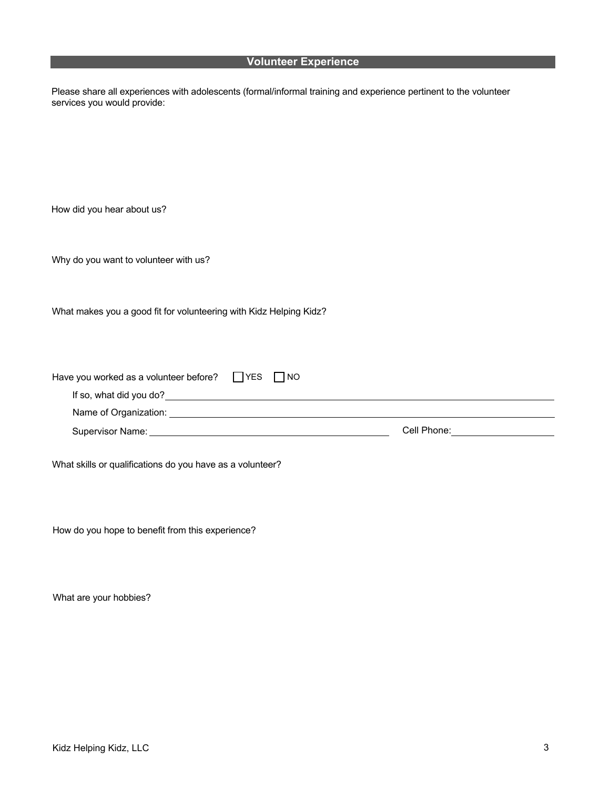#### **Volunteer Experience**

Please share all experiences with adolescents (formal/informal training and experience pertinent to the volunteer services you would provide:

How did you hear about us?

Why do you want to volunteer with us?

What makes you a good fit for volunteering with Kidz Helping Kidz?

| Have you worked as a volunteer before? | I IYES | I NO |             |  |
|----------------------------------------|--------|------|-------------|--|
| If so, what did you do?                |        |      |             |  |
| Name of Organization:                  |        |      |             |  |
| Supervisor Name:                       |        |      | Cell Phone: |  |

What skills or qualifications do you have as a volunteer?

How do you hope to benefit from this experience?

What are your hobbies?